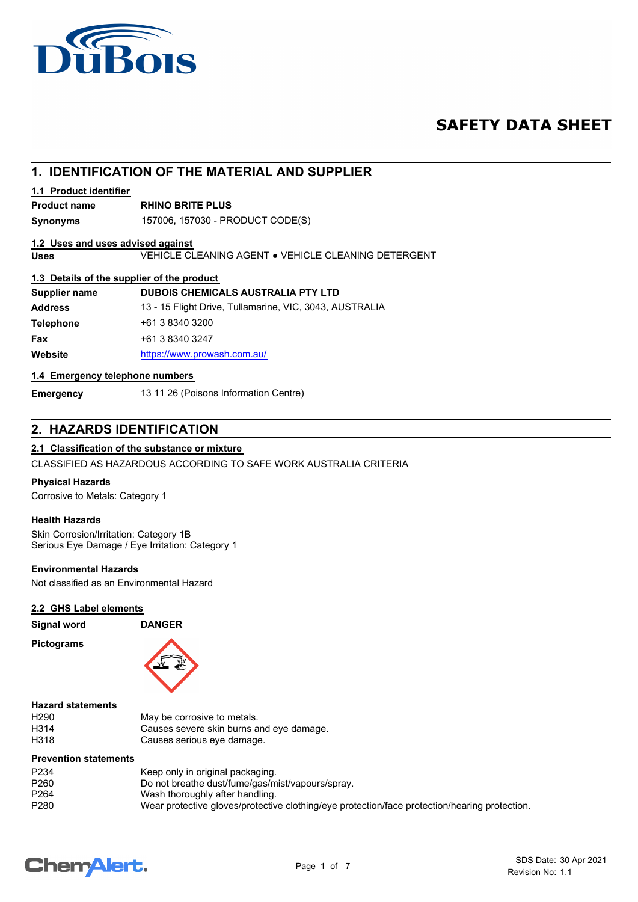

# **SAFETY DATA SHEET**

# **1. IDENTIFICATION OF THE MATERIAL AND SUPPLIER**

## **1.1 Product identifier**

# **Product name RHINO BRITE PLUS**

**Synonyms** 157006, 157030 - PRODUCT CODE(S)

## **1.2 Uses and uses advised against**

**Uses** VEHICLE CLEANING AGENT ● VEHICLE CLEANING DETERGENT

## **1.3 Details of the supplier of the product**

| Supplier name    | <b>DUBOIS CHEMICALS AUSTRALIA PTY LTD</b>               |
|------------------|---------------------------------------------------------|
| <b>Address</b>   | 13 - 15 Flight Drive, Tullamarine, VIC, 3043, AUSTRALIA |
| <b>Telephone</b> | +61 3 8340 3200                                         |
| Fax              | +61 3 8340 3247                                         |
| Website          | https://www.prowash.com.au/                             |

## **1.4 Emergency telephone numbers**

**Emergency** 13 11 26 (Poisons Information Centre)

# **2. HAZARDS IDENTIFICATION**

## **2.1 Classification of the substance or mixture**

CLASSIFIED AS HAZARDOUS ACCORDING TO SAFE WORK AUSTRALIA CRITERIA

## **Physical Hazards**

Corrosive to Metals: Category 1

## **Health Hazards**

Skin Corrosion/Irritation: Category 1B Serious Eye Damage / Eye Irritation: Category 1

## **Environmental Hazards**

Not classified as an Environmental Hazard

## **2.2 GHS Label elements**

| <b>Signal word</b> |  |
|--------------------|--|
|--------------------|--|

**Pictograms**



**Signal word DANGER**

### **Hazard statements**

| H <sub>290</sub> | May be corrosive to metals.              |
|------------------|------------------------------------------|
| H314             | Causes severe skin burns and eye damage. |
| H318             | Causes serious eye damage.               |

## **Prevention statements**

| P <sub>2</sub> 34 | Keep only in original packaging.                                                              |
|-------------------|-----------------------------------------------------------------------------------------------|
| P <sub>260</sub>  | Do not breathe dust/fume/gas/mist/vapours/spray.                                              |
| P <sub>264</sub>  | Wash thoroughly after handling.                                                               |
| P280              | Wear protective gloves/protective clothing/eye protection/face protection/hearing protection. |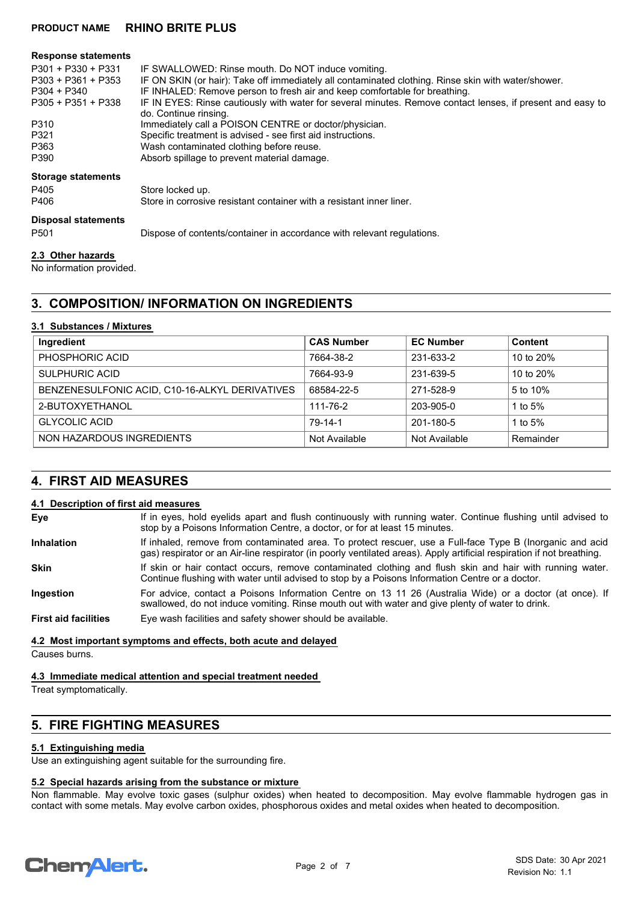## **PRODUCT NAME RHINO BRITE PLUS**

| <b>Response statements</b>                                                          |                                                                                                                                                                                                                                                                                                                                                       |
|-------------------------------------------------------------------------------------|-------------------------------------------------------------------------------------------------------------------------------------------------------------------------------------------------------------------------------------------------------------------------------------------------------------------------------------------------------|
| $P301 + P330 + P331$<br>$P303 + P361 + P353$<br>P304 + P340<br>$P305 + P351 + P338$ | IF SWALLOWED: Rinse mouth. Do NOT induce vomiting.<br>IF ON SKIN (or hair): Take off immediately all contaminated clothing. Rinse skin with water/shower.<br>IF INHALED: Remove person to fresh air and keep comfortable for breathing.<br>IF IN EYES: Rinse cautiously with water for several minutes. Remove contact lenses, if present and easy to |
|                                                                                     | do. Continue rinsing.                                                                                                                                                                                                                                                                                                                                 |
| P310                                                                                | Immediately call a POISON CENTRE or doctor/physician.                                                                                                                                                                                                                                                                                                 |
| P321                                                                                | Specific treatment is advised - see first aid instructions.                                                                                                                                                                                                                                                                                           |
| P363                                                                                | Wash contaminated clothing before reuse.                                                                                                                                                                                                                                                                                                              |
| P390                                                                                | Absorb spillage to prevent material damage.                                                                                                                                                                                                                                                                                                           |
| <b>Storage statements</b>                                                           |                                                                                                                                                                                                                                                                                                                                                       |
| P405                                                                                | Store locked up.                                                                                                                                                                                                                                                                                                                                      |
| P406                                                                                | Store in corrosive resistant container with a resistant inner liner.                                                                                                                                                                                                                                                                                  |
| <b>Disposal statements</b>                                                          |                                                                                                                                                                                                                                                                                                                                                       |
| P <sub>501</sub>                                                                    | Dispose of contents/container in accordance with relevant regulations.                                                                                                                                                                                                                                                                                |
| 2.3 Other hazards                                                                   |                                                                                                                                                                                                                                                                                                                                                       |

No information provided.

# **3. COMPOSITION/ INFORMATION ON INGREDIENTS**

### **3.1 Substances / Mixtures**

| Ingredient                                     | <b>CAS Number</b> | <b>EC Number</b> | <b>Content</b> |
|------------------------------------------------|-------------------|------------------|----------------|
| PHOSPHORIC ACID                                | 7664-38-2         | 231-633-2        | 10 to 20%      |
| <b>SULPHURIC ACID</b>                          | 7664-93-9         | 231-639-5        | 10 to 20%      |
| BENZENESULFONIC ACID, C10-16-ALKYL DERIVATIVES | 68584-22-5        | 271-528-9        | 5 to 10%       |
| 2-BUTOXYETHANOL                                | 111-76-2          | 203-905-0        | 1 to $5%$      |
| <b>GLYCOLIC ACID</b>                           | 79-14-1           | 201-180-5        | 1 to $5%$      |
| NON HAZARDOUS INGREDIENTS                      | Not Available     | Not Available    | Remainder      |

## **4. FIRST AID MEASURES**

### **4.1 Description of first aid measures**

If in eyes, hold eyelids apart and flush continuously with running water. Continue flushing until advised to stop by a Poisons Information Centre, a doctor, or for at least 15 minutes. **Eye** If inhaled, remove from contaminated area. To protect rescuer, use a Full-face Type B (Inorganic and acid gas) respirator or an Air-line respirator (in poorly ventilated areas). Apply artificial respiration if not breathing. **Inhalation** If skin or hair contact occurs, remove contaminated clothing and flush skin and hair with running water. Continue flushing with water until advised to stop by a Poisons Information Centre or a doctor. **Skin** For advice, contact a Poisons Information Centre on 13 11 26 (Australia Wide) or a doctor (at once). If swallowed, do not induce vomiting. Rinse mouth out with water and give plenty of water to drink. **Ingestion First aid facilities** Eye wash facilities and safety shower should be available.

**4.2 Most important symptoms and effects, both acute and delayed**

Causes burns.

**4.3 Immediate medical attention and special treatment needed**

Treat symptomatically.

# **5. FIRE FIGHTING MEASURES**

## **5.1 Extinguishing media**

Use an extinguishing agent suitable for the surrounding fire.

# **5.2 Special hazards arising from the substance or mixture**

Non flammable. May evolve toxic gases (sulphur oxides) when heated to decomposition. May evolve flammable hydrogen gas in contact with some metals. May evolve carbon oxides, phosphorous oxides and metal oxides when heated to decomposition.

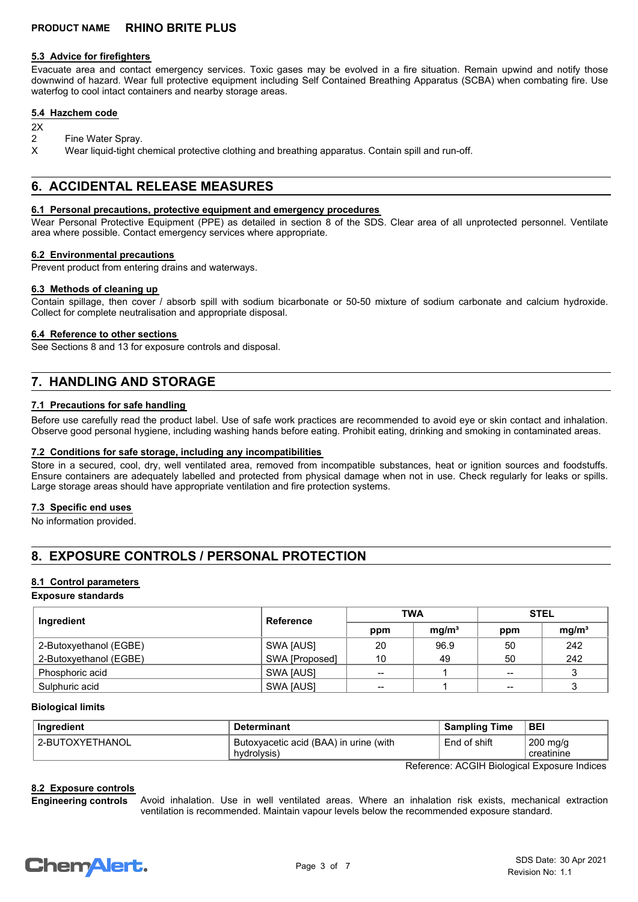### **5.3 Advice for firefighters**

Evacuate area and contact emergency services. Toxic gases may be evolved in a fire situation. Remain upwind and notify those downwind of hazard. Wear full protective equipment including Self Contained Breathing Apparatus (SCBA) when combating fire. Use waterfog to cool intact containers and nearby storage areas.

## **5.4 Hazchem code**

- $2X$
- 2 Fine Water Spray.
- X Wear liquid-tight chemical protective clothing and breathing apparatus. Contain spill and run-off.

# **6. ACCIDENTAL RELEASE MEASURES**

### **6.1 Personal precautions, protective equipment and emergency procedures**

Wear Personal Protective Equipment (PPE) as detailed in section 8 of the SDS. Clear area of all unprotected personnel. Ventilate area where possible. Contact emergency services where appropriate.

### **6.2 Environmental precautions**

Prevent product from entering drains and waterways.

### **6.3 Methods of cleaning up**

Contain spillage, then cover / absorb spill with sodium bicarbonate or 50-50 mixture of sodium carbonate and calcium hydroxide. Collect for complete neutralisation and appropriate disposal.

### **6.4 Reference to other sections**

See Sections 8 and 13 for exposure controls and disposal.

# **7. HANDLING AND STORAGE**

## **7.1 Precautions for safe handling**

Before use carefully read the product label. Use of safe work practices are recommended to avoid eye or skin contact and inhalation. Observe good personal hygiene, including washing hands before eating. Prohibit eating, drinking and smoking in contaminated areas.

### **7.2 Conditions for safe storage, including any incompatibilities**

Store in a secured, cool, dry, well ventilated area, removed from incompatible substances, heat or ignition sources and foodstuffs. Ensure containers are adequately labelled and protected from physical damage when not in use. Check regularly for leaks or spills. Large storage areas should have appropriate ventilation and fire protection systems.

## **7.3 Specific end uses**

No information provided.

# **8. EXPOSURE CONTROLS / PERSONAL PROTECTION**

## **8.1 Control parameters**

**Exposure standards**

| Ingredient             | Reference      | <b>TWA</b> |                   | <b>STEL</b> |                   |
|------------------------|----------------|------------|-------------------|-------------|-------------------|
|                        |                | ppm        | mq/m <sup>3</sup> | ppm         | mq/m <sup>3</sup> |
| 2-Butoxyethanol (EGBE) | SWA [AUS]      | 20         | 96.9              | 50          | 242               |
| 2-Butoxyethanol (EGBE) | SWA [Proposed] | 10         | 49                | 50          | 242               |
| Phosphoric acid        | SWA [AUS]      | $- -$      |                   | $- -$       |                   |
| Sulphuric acid         | SWA [AUS]      | $- -$      |                   | $- -$       |                   |

### **Biological limits**

| Ingredient      | <b>Determinant</b>                                                 | <b>Sampling Time</b> | <b>BEI</b>             |
|-----------------|--------------------------------------------------------------------|----------------------|------------------------|
| 2-BUTOXYETHANOL | <sup>1</sup> Butoxyacetic acid (BAA) in urine (with<br>hydrolysis) | End of shift         | 200 mg/g<br>creatinine |

Reference: ACGIH Biological Exposure Indices

### **8.2 Exposure controls**

Avoid inhalation. Use in well ventilated areas. Where an inhalation risk exists, mechanical extraction ventilation is recommended. Maintain vapour levels below the recommended exposure standard. **Engineering controls**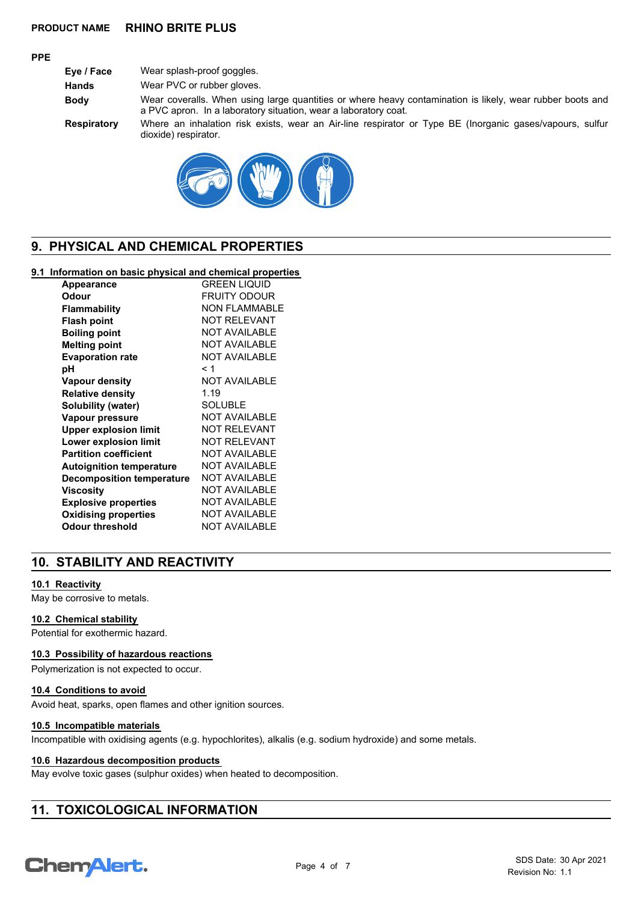## **PRODUCT NAME RHINO BRITE PLUS**

## **PPE**

**Eye / Face** Wear splash-proof goggles. **Hands** Wear PVC or rubber gloves. **Body** Wear coveralls. When using large quantities or where heavy contamination is likely, wear rubber boots and a PVC apron. In a laboratory situation, wear a laboratory coat. **Respiratory** Where an inhalation risk exists, wear an Air-line respirator or Type BE (Inorganic gases/vapours, sulfur dioxide) respirator.



# **9. PHYSICAL AND CHEMICAL PROPERTIES**

## **9.1 Information on basic physical and chemical properties**

| <b>Appearance</b>                | <b>GREEN LIQUID</b>  |
|----------------------------------|----------------------|
| Odour                            | FRUITY ODOUR         |
| <b>Flammability</b>              | <b>NON FLAMMABLE</b> |
| <b>Flash point</b>               | <b>NOT RELEVANT</b>  |
| <b>Boiling point</b>             | <b>NOT AVAILABLE</b> |
| <b>Melting point</b>             | <b>NOT AVAILABLE</b> |
| <b>Evaporation rate</b>          | <b>NOT AVAILABLE</b> |
| рH                               | < 1                  |
| Vapour density                   | <b>NOT AVAILABLE</b> |
| <b>Relative density</b>          | 1.19                 |
| Solubility (water)               | SOLUBLE              |
| Vapour pressure                  | <b>NOT AVAILABLE</b> |
| <b>Upper explosion limit</b>     | <b>NOT RELEVANT</b>  |
| Lower explosion limit            | <b>NOT RELEVANT</b>  |
| <b>Partition coefficient</b>     | <b>NOT AVAILABLE</b> |
| <b>Autoignition temperature</b>  | <b>NOT AVAILABLE</b> |
| <b>Decomposition temperature</b> | <b>NOT AVAILABLE</b> |
| Viscosity                        | <b>NOT AVAILABLE</b> |
| <b>Explosive properties</b>      | <b>NOT AVAILABLE</b> |
| <b>Oxidising properties</b>      | <b>NOT AVAILABLE</b> |
| <b>Odour threshold</b>           | <b>NOT AVAILABLE</b> |

# **10. STABILITY AND REACTIVITY**

## **10.1 Reactivity**

May be corrosive to metals.

## **10.2 Chemical stability**

Potential for exothermic hazard.

### **10.3 Possibility of hazardous reactions**

Polymerization is not expected to occur.

## **10.4 Conditions to avoid**

Avoid heat, sparks, open flames and other ignition sources.

### **10.5 Incompatible materials**

Incompatible with oxidising agents (e.g. hypochlorites), alkalis (e.g. sodium hydroxide) and some metals.

### **10.6 Hazardous decomposition products**

May evolve toxic gases (sulphur oxides) when heated to decomposition.

# **11. TOXICOLOGICAL INFORMATION**

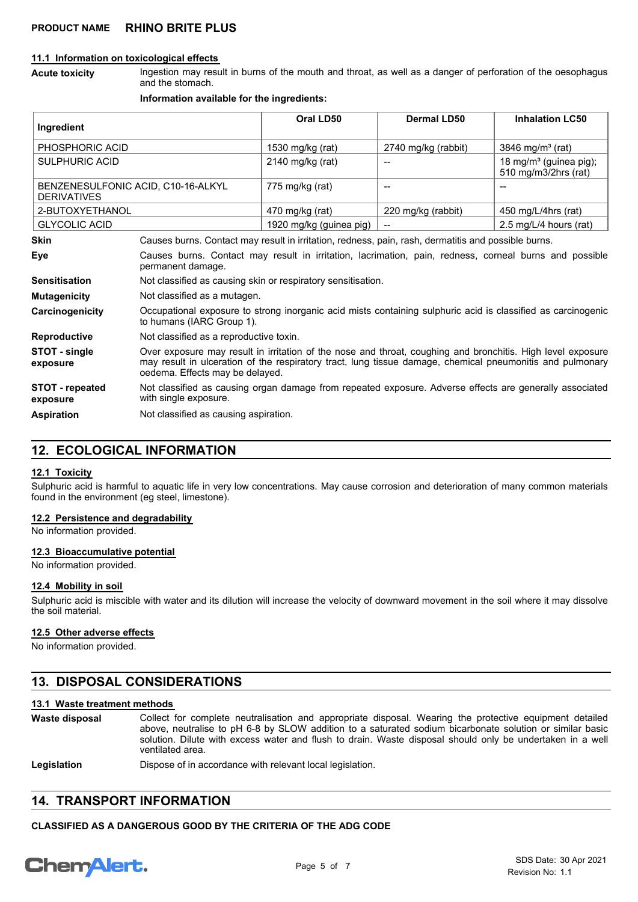### **11.1 Information on toxicological effects**

Ingestion may result in burns of the mouth and throat, as well as a danger of perforation of the oesophagus and the stomach. **Acute toxicity**

#### **Information available for the ingredients:**

| Ingredient                                               |                                                                                                                                                                                                                                                             | Oral LD50                                                                                               | Dermal LD50              | <b>Inhalation LC50</b>                                     |
|----------------------------------------------------------|-------------------------------------------------------------------------------------------------------------------------------------------------------------------------------------------------------------------------------------------------------------|---------------------------------------------------------------------------------------------------------|--------------------------|------------------------------------------------------------|
| PHOSPHORIC ACID                                          |                                                                                                                                                                                                                                                             | 1530 mg/kg (rat)                                                                                        | 2740 mg/kg (rabbit)      | 3846 mg/m <sup>3</sup> (rat)                               |
| <b>SULPHURIC ACID</b>                                    |                                                                                                                                                                                                                                                             | 2140 mg/kg (rat)                                                                                        |                          | 18 mg/m <sup>3</sup> (guinea pig);<br>510 mg/m3/2hrs (rat) |
| BENZENESULFONIC ACID, C10-16-ALKYL<br><b>DERIVATIVES</b> |                                                                                                                                                                                                                                                             | 775 mg/kg (rat)                                                                                         | $\overline{\phantom{a}}$ | $-$                                                        |
| 2-BUTOXYETHANOL                                          |                                                                                                                                                                                                                                                             | 470 mg/kg (rat)                                                                                         | 220 mg/kg (rabbit)       | 450 mg/L/4hrs (rat)                                        |
| <b>GLYCOLIC ACID</b>                                     |                                                                                                                                                                                                                                                             | 1920 mg/kg (guinea pig)                                                                                 |                          | 2.5 mg/L/4 hours (rat)                                     |
| <b>Skin</b>                                              | Causes burns. Contact may result in irritation, redness, pain, rash, dermatitis and possible burns.                                                                                                                                                         |                                                                                                         |                          |                                                            |
| Eye                                                      | Causes burns. Contact may result in irritation, lacrimation, pain, redness, corneal burns and possible<br>permanent damage.                                                                                                                                 |                                                                                                         |                          |                                                            |
| <b>Sensitisation</b>                                     | Not classified as causing skin or respiratory sensitisation.                                                                                                                                                                                                |                                                                                                         |                          |                                                            |
| <b>Mutagenicity</b>                                      | Not classified as a mutagen.                                                                                                                                                                                                                                |                                                                                                         |                          |                                                            |
| Carcinogenicity                                          | Occupational exposure to strong inorganic acid mists containing sulphuric acid is classified as carcinogenic<br>to humans (IARC Group 1).                                                                                                                   |                                                                                                         |                          |                                                            |
| <b>Reproductive</b>                                      | Not classified as a reproductive toxin.                                                                                                                                                                                                                     |                                                                                                         |                          |                                                            |
| STOT - single<br>exposure                                | Over exposure may result in irritation of the nose and throat, coughing and bronchitis. High level exposure<br>may result in ulceration of the respiratory tract, lung tissue damage, chemical pneumonitis and pulmonary<br>oedema. Effects may be delayed. |                                                                                                         |                          |                                                            |
| <b>STOT - repeated</b><br>exposure                       | with single exposure.                                                                                                                                                                                                                                       | Not classified as causing organ damage from repeated exposure. Adverse effects are generally associated |                          |                                                            |
| <b>Aspiration</b>                                        | Not classified as causing aspiration.                                                                                                                                                                                                                       |                                                                                                         |                          |                                                            |

# **12. ECOLOGICAL INFORMATION**

#### **12.1 Toxicity**

Sulphuric acid is harmful to aquatic life in very low concentrations. May cause corrosion and deterioration of many common materials found in the environment (eg steel, limestone).

### **12.2 Persistence and degradability**

No information provided.

### **12.3 Bioaccumulative potential**

No information provided.

#### **12.4 Mobility in soil**

Sulphuric acid is miscible with water and its dilution will increase the velocity of downward movement in the soil where it may dissolve the soil material.

### **12.5 Other adverse effects**

No information provided.

# **13. DISPOSAL CONSIDERATIONS**

### **13.1 Waste treatment methods**

Collect for complete neutralisation and appropriate disposal. Wearing the protective equipment detailed above, neutralise to pH 6-8 by SLOW addition to a saturated sodium bicarbonate solution or similar basic solution. Dilute with excess water and flush to drain. Waste disposal should only be undertaken in a well ventilated area. **Waste disposal**

Legislation **Dispose of in accordance with relevant local legislation.** 

## **14. TRANSPORT INFORMATION**

**CLASSIFIED AS A DANGEROUS GOOD BY THE CRITERIA OF THE ADG CODE**

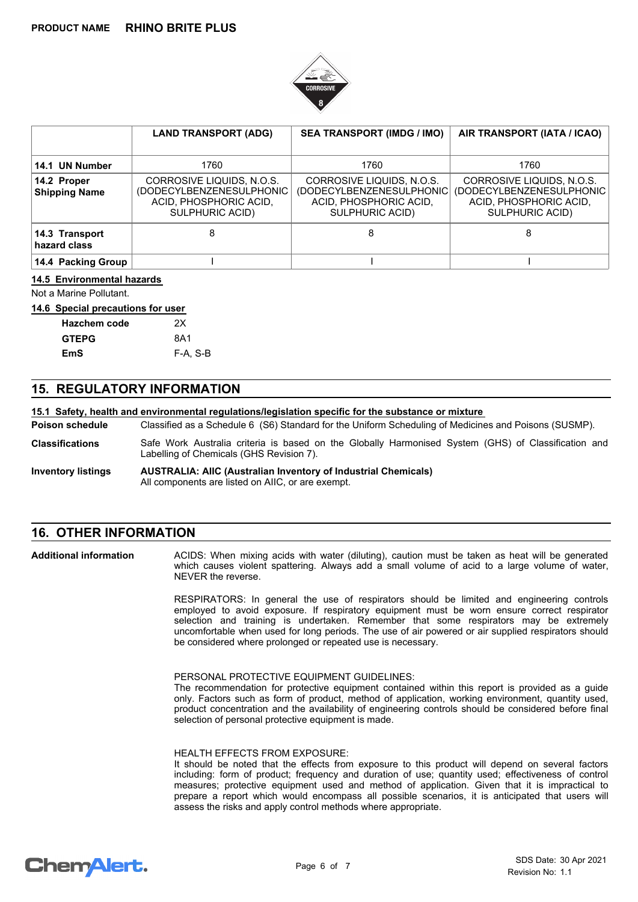

|                                     | <b>LAND TRANSPORT (ADG)</b>                                                                         | <b>SEA TRANSPORT (IMDG / IMO)</b>                                                                   | AIR TRANSPORT (IATA / ICAO)                                                                               |
|-------------------------------------|-----------------------------------------------------------------------------------------------------|-----------------------------------------------------------------------------------------------------|-----------------------------------------------------------------------------------------------------------|
| 14.1 UN Number                      | 1760                                                                                                | 1760                                                                                                | 1760                                                                                                      |
| 14.2 Proper<br><b>Shipping Name</b> | CORROSIVE LIQUIDS, N.O.S.<br>(DODECYLBENZENESULPHONIC)<br>ACID, PHOSPHORIC ACID,<br>SULPHURIC ACID) | CORROSIVE LIQUIDS, N.O.S.<br>(DODECYLBENZENESULPHONIC)<br>ACID, PHOSPHORIC ACID,<br>SULPHURIC ACID) | CORROSIVE LIQUIDS, N.O.S.<br>(DODECYLBENZENESULPHONIC<br>ACID, PHOSPHORIC ACID,<br><b>SULPHURIC ACID)</b> |
| 14.3 Transport<br>hazard class      | 8                                                                                                   | 8                                                                                                   | 8                                                                                                         |
| 14.4 Packing Group                  |                                                                                                     |                                                                                                     |                                                                                                           |

## **14.5 Environmental hazards**

Not a Marine Pollutant.

### **14.6 Special precautions for user**

| <b>Hazchem code</b> | οх       |
|---------------------|----------|
| <b>GTEPG</b>        | 8A1      |
| EmS                 | F-A. S-B |

## **15. REGULATORY INFORMATION**

### **15.1 Safety, health and environmental regulations/legislation specific for the substance or mixture**

Classified as a Schedule 6 (S6) Standard for the Uniform Scheduling of Medicines and Poisons (SUSMP). **Poison schedule**

- Safe Work Australia criteria is based on the Globally Harmonised System (GHS) of Classification and Labelling of Chemicals (GHS Revision 7). **Classifications**
- **AUSTRALIA: AIIC (Australian Inventory of Industrial Chemicals)** All components are listed on AIIC, or are exempt. **Inventory listings**

# **16. OTHER INFORMATION**

**Additional information**

ACIDS: When mixing acids with water (diluting), caution must be taken as heat will be generated which causes violent spattering. Always add a small volume of acid to a large volume of water, NEVER the reverse.

RESPIRATORS: In general the use of respirators should be limited and engineering controls employed to avoid exposure. If respiratory equipment must be worn ensure correct respirator selection and training is undertaken. Remember that some respirators may be extremely uncomfortable when used for long periods. The use of air powered or air supplied respirators should be considered where prolonged or repeated use is necessary.

PERSONAL PROTECTIVE EQUIPMENT GUIDELINES:

The recommendation for protective equipment contained within this report is provided as a guide only. Factors such as form of product, method of application, working environment, quantity used, product concentration and the availability of engineering controls should be considered before final selection of personal protective equipment is made.

#### HEALTH EFFECTS FROM EXPOSURE:

It should be noted that the effects from exposure to this product will depend on several factors including: form of product; frequency and duration of use; quantity used; effectiveness of control measures; protective equipment used and method of application. Given that it is impractical to prepare a report which would encompass all possible scenarios, it is anticipated that users will assess the risks and apply control methods where appropriate.